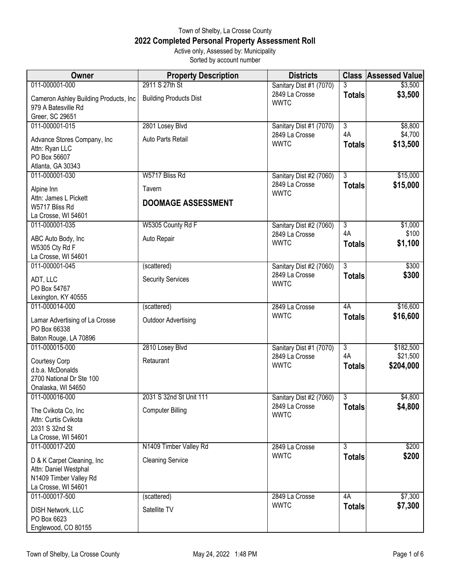## Town of Shelby, La Crosse County **2022 Completed Personal Property Assessment Roll** Active only, Assessed by: Municipality

Sorted by account number

| Owner                                                                                                 | <b>Property Description</b>   | <b>Districts</b>              |                      | <b>Class Assessed Value</b> |
|-------------------------------------------------------------------------------------------------------|-------------------------------|-------------------------------|----------------------|-----------------------------|
| 011-000001-000                                                                                        | 2911 S 27th St                | Sanitary Dist #1 (7070)       | 3                    | \$3,500                     |
| Cameron Ashley Building Products, Inc<br>979 A Batesville Rd                                          | <b>Building Products Dist</b> | 2849 La Crosse<br><b>WWTC</b> | <b>Totals</b>        | \$3,500                     |
| Greer, SC 29651                                                                                       |                               |                               |                      |                             |
| 011-000001-015                                                                                        | 2801 Losey Blvd               | Sanitary Dist #1 (7070)       | $\overline{3}$<br>4A | \$8,800                     |
| Advance Stores Company, Inc<br>Attn: Ryan LLC<br>PO Box 56607                                         | Auto Parts Retail             | 2849 La Crosse<br><b>WWTC</b> | <b>Totals</b>        | \$4,700<br>\$13,500         |
| Atlanta, GA 30343                                                                                     |                               |                               |                      |                             |
| 011-000001-030                                                                                        | W5717 Bliss Rd                | Sanitary Dist #2 (7060)       | $\overline{3}$       | \$15,000                    |
| Alpine Inn                                                                                            | Tavern                        | 2849 La Crosse<br><b>WWTC</b> | <b>Totals</b>        | \$15,000                    |
| Attn: James L Pickett<br>W5717 Bliss Rd<br>La Crosse, WI 54601                                        | <b>DOOMAGE ASSESSMENT</b>     |                               |                      |                             |
| 011-000001-035                                                                                        | W5305 County Rd F             | Sanitary Dist #2 (7060)       | $\overline{3}$       | \$1,000                     |
| ABC Auto Body, Inc<br>W5305 Cty Rd F<br>La Crosse, WI 54601                                           | Auto Repair                   | 2849 La Crosse<br><b>WWTC</b> | 4A<br><b>Totals</b>  | \$100<br>\$1,100            |
| 011-000001-045                                                                                        | (scattered)                   | Sanitary Dist #2 (7060)       | $\overline{3}$       | \$300                       |
| ADT, LLC<br>PO Box 54767                                                                              | <b>Security Services</b>      | 2849 La Crosse<br><b>WWTC</b> | <b>Totals</b>        | \$300                       |
| Lexington, KY 40555                                                                                   |                               |                               |                      |                             |
| 011-000014-000                                                                                        | (scattered)                   | 2849 La Crosse                | 4A                   | \$16,600                    |
| Lamar Advertising of La Crosse<br>PO Box 66338                                                        | <b>Outdoor Advertising</b>    | <b>WWTC</b>                   | <b>Totals</b>        | \$16,600                    |
| Baton Rouge, LA 70896<br>011-000015-000                                                               | 2810 Losey Blvd               | Sanitary Dist #1 (7070)       | $\overline{3}$       | \$182,500                   |
| Courtesy Corp<br>d.b.a. McDonalds<br>2700 National Dr Ste 100                                         | Retaurant                     | 2849 La Crosse<br><b>WWTC</b> | 4A<br><b>Totals</b>  | \$21,500<br>\$204,000       |
| Onalaska, WI 54650                                                                                    |                               |                               |                      |                             |
| 011-000016-000                                                                                        | 2031 S 32nd St Unit 111       | Sanitary Dist #2 (7060)       | $\overline{3}$       | \$4,800                     |
| The Cvikota Co, Inc<br>Attn: Curtis Cvikota<br>2031 S 32nd St<br>La Crosse, WI 54601                  | <b>Computer Billing</b>       | 2849 La Crosse<br><b>WWTC</b> | <b>Totals</b>        | \$4,800                     |
| 011-000017-200                                                                                        | N1409 Timber Valley Rd        | 2849 La Crosse                | $\overline{3}$       | \$200                       |
| D & K Carpet Cleaning, Inc.<br>Attn: Daniel Westphal<br>N1409 Timber Valley Rd<br>La Crosse, WI 54601 | <b>Cleaning Service</b>       | <b>WWTC</b>                   | <b>Totals</b>        | \$200                       |
| 011-000017-500                                                                                        | (scattered)                   | 2849 La Crosse                | 4A                   | \$7,300                     |
| DISH Network, LLC<br>PO Box 6623<br>Englewood, CO 80155                                               | Satellite TV                  | <b>WWTC</b>                   | <b>Totals</b>        | \$7,300                     |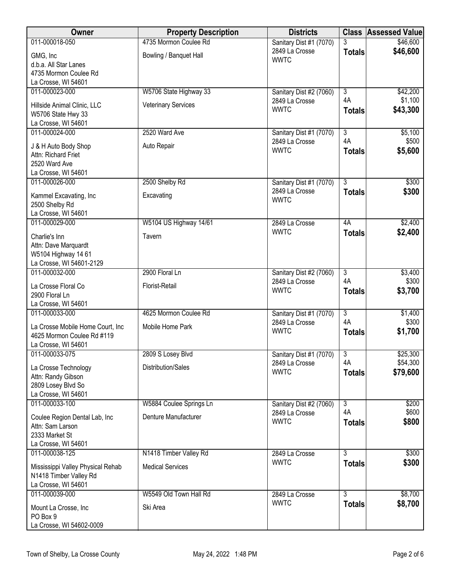| 011-000018-050<br>4735 Mormon Coulee Rd<br>\$46,600<br>Sanitary Dist #1 (7070)<br>\$46,600<br>2849 La Crosse<br><b>Totals</b><br>Bowling / Banquet Hall<br>GMG, Inc<br><b>WWTC</b><br>d.b.a. All Star Lanes<br>4735 Mormon Coulee Rd<br>La Crosse, WI 54601<br>011-000023-000<br>W5706 State Highway 33<br>$\overline{3}$<br>\$42,200<br>Sanitary Dist #2 (7060)<br>4A<br>\$1,100<br>2849 La Crosse |  |
|-----------------------------------------------------------------------------------------------------------------------------------------------------------------------------------------------------------------------------------------------------------------------------------------------------------------------------------------------------------------------------------------------------|--|
|                                                                                                                                                                                                                                                                                                                                                                                                     |  |
|                                                                                                                                                                                                                                                                                                                                                                                                     |  |
|                                                                                                                                                                                                                                                                                                                                                                                                     |  |
|                                                                                                                                                                                                                                                                                                                                                                                                     |  |
|                                                                                                                                                                                                                                                                                                                                                                                                     |  |
| Hillside Animal Clinic, LLC<br><b>Veterinary Services</b>                                                                                                                                                                                                                                                                                                                                           |  |
| <b>WWTC</b><br>\$43,300<br><b>Totals</b><br>W5706 State Hwy 33                                                                                                                                                                                                                                                                                                                                      |  |
| La Crosse, WI 54601                                                                                                                                                                                                                                                                                                                                                                                 |  |
| 011-000024-000<br>2520 Ward Ave<br>$\overline{3}$<br>\$5,100<br>Sanitary Dist #1 (7070)<br>4A                                                                                                                                                                                                                                                                                                       |  |
| 2849 La Crosse<br>\$500<br>Auto Repair<br>J & H Auto Body Shop<br><b>WWTC</b><br>\$5,600<br><b>Totals</b>                                                                                                                                                                                                                                                                                           |  |
| Attn: Richard Friet                                                                                                                                                                                                                                                                                                                                                                                 |  |
| 2520 Ward Ave<br>La Crosse, WI 54601                                                                                                                                                                                                                                                                                                                                                                |  |
| 011-000026-000<br>$\overline{3}$<br>2500 Shelby Rd<br>\$300<br>Sanitary Dist #1 (7070)                                                                                                                                                                                                                                                                                                              |  |
| 2849 La Crosse<br>\$300<br><b>Totals</b><br>Excavating<br>Kammel Excavating, Inc                                                                                                                                                                                                                                                                                                                    |  |
| <b>WWTC</b><br>2500 Shelby Rd                                                                                                                                                                                                                                                                                                                                                                       |  |
| La Crosse, WI 54601                                                                                                                                                                                                                                                                                                                                                                                 |  |
| W5104 US Highway 14/61<br>\$2,400<br>011-000029-000<br>4A<br>2849 La Crosse                                                                                                                                                                                                                                                                                                                         |  |
| <b>WWTC</b><br>\$2,400<br><b>Totals</b><br>Charlie's Inn<br>Tavern                                                                                                                                                                                                                                                                                                                                  |  |
| Attn: Dave Marquardt                                                                                                                                                                                                                                                                                                                                                                                |  |
| W5104 Highway 14 61<br>La Crosse, WI 54601-2129                                                                                                                                                                                                                                                                                                                                                     |  |
| 011-000032-000<br>2900 Floral Ln<br>$\overline{3}$<br>\$3,400<br>Sanitary Dist #2 (7060)                                                                                                                                                                                                                                                                                                            |  |
| 4A<br>\$300<br>2849 La Crosse<br>Florist-Retail<br>La Crosse Floral Co                                                                                                                                                                                                                                                                                                                              |  |
| \$3,700<br><b>WWTC</b><br><b>Totals</b><br>2900 Floral Ln                                                                                                                                                                                                                                                                                                                                           |  |
| La Crosse, WI 54601                                                                                                                                                                                                                                                                                                                                                                                 |  |
| 011-000033-000<br>$\overline{\overline{3}}$<br>4625 Mormon Coulee Rd<br>\$1,400<br>Sanitary Dist #1 (7070)<br>4A<br>\$300<br>2849 La Crosse                                                                                                                                                                                                                                                         |  |
| Mobile Home Park<br>La Crosse Mobile Home Court, Inc<br><b>WWTC</b><br>\$1,700<br><b>Totals</b>                                                                                                                                                                                                                                                                                                     |  |
| 4625 Mormon Coulee Rd #119<br>La Crosse, WI 54601                                                                                                                                                                                                                                                                                                                                                   |  |
| 011-000033-075<br>2809 S Losey Blvd<br>3<br>\$25,300<br>Sanitary Dist #1 (7070)                                                                                                                                                                                                                                                                                                                     |  |
| \$54,300<br>4A<br>2849 La Crosse<br>Distribution/Sales<br>La Crosse Technology                                                                                                                                                                                                                                                                                                                      |  |
| \$79,600<br><b>WWTC</b><br><b>Totals</b><br>Attn: Randy Gibson                                                                                                                                                                                                                                                                                                                                      |  |
| 2809 Losey Blvd So                                                                                                                                                                                                                                                                                                                                                                                  |  |
| La Crosse, WI 54601                                                                                                                                                                                                                                                                                                                                                                                 |  |
| 011-000033-100<br>$\overline{3}$<br>\$200<br>W5884 Coulee Springs Ln<br>Sanitary Dist #2 (7060)<br>4A<br>\$600<br>2849 La Crosse                                                                                                                                                                                                                                                                    |  |
| Denture Manufacturer<br>Coulee Region Dental Lab, Inc<br>\$800<br><b>WWTC</b><br><b>Totals</b>                                                                                                                                                                                                                                                                                                      |  |
| Attn: Sam Larson<br>2333 Market St                                                                                                                                                                                                                                                                                                                                                                  |  |
| La Crosse, WI 54601                                                                                                                                                                                                                                                                                                                                                                                 |  |
| $\overline{3}$<br>011-000038-125<br>N1418 Timber Valley Rd<br>\$300<br>2849 La Crosse                                                                                                                                                                                                                                                                                                               |  |
| <b>WWTC</b><br>\$300<br><b>Totals</b><br><b>Medical Services</b><br>Mississippi Valley Physical Rehab                                                                                                                                                                                                                                                                                               |  |
| N1418 Timber Valley Rd                                                                                                                                                                                                                                                                                                                                                                              |  |
| La Crosse, WI 54601                                                                                                                                                                                                                                                                                                                                                                                 |  |
| 011-000039-000<br>W5549 Old Town Hall Rd<br>$\overline{3}$<br>\$8,700<br>2849 La Crosse<br>\$8,700<br><b>WWTC</b><br><b>Totals</b>                                                                                                                                                                                                                                                                  |  |
| Mount La Crosse, Inc<br>Ski Area<br>PO Box 9                                                                                                                                                                                                                                                                                                                                                        |  |
| La Crosse, WI 54602-0009                                                                                                                                                                                                                                                                                                                                                                            |  |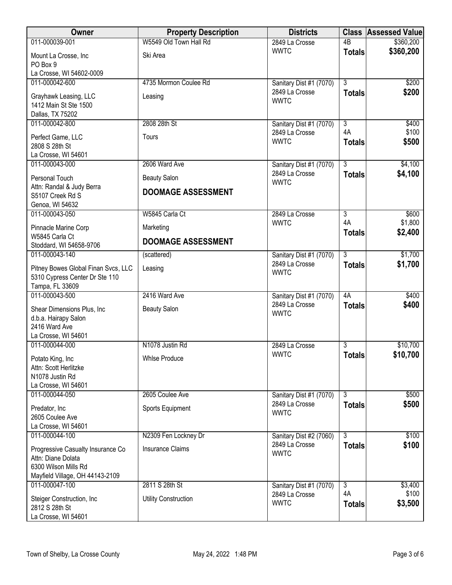| Owner                                          | <b>Property Description</b> | <b>Districts</b>              |                           | <b>Class Assessed Value</b> |
|------------------------------------------------|-----------------------------|-------------------------------|---------------------------|-----------------------------|
| 011-000039-001                                 | W5549 Old Town Hall Rd      | 2849 La Crosse                | $\overline{AB}$           | \$360,200                   |
| Mount La Crosse, Inc<br>PO Box 9               | Ski Area                    | <b>WWTC</b>                   | <b>Totals</b>             | \$360,200                   |
| La Crosse, WI 54602-0009                       |                             |                               |                           |                             |
| 011-000042-600                                 | 4735 Mormon Coulee Rd       | Sanitary Dist #1 (7070)       | $\overline{\overline{3}}$ | \$200                       |
|                                                |                             | 2849 La Crosse                | <b>Totals</b>             | \$200                       |
| Grayhawk Leasing, LLC<br>1412 Main St Ste 1500 | Leasing                     | <b>WWTC</b>                   |                           |                             |
| Dallas, TX 75202                               |                             |                               |                           |                             |
| 011-000042-800                                 | 2808 28th St                | Sanitary Dist #1 (7070)       | $\overline{3}$            | \$400                       |
|                                                |                             | 2849 La Crosse                | 4A                        | \$100                       |
| Perfect Game, LLC<br>2808 S 28th St            | Tours                       | <b>WWTC</b>                   | <b>Totals</b>             | \$500                       |
| La Crosse, WI 54601                            |                             |                               |                           |                             |
| 011-000043-000                                 | 2606 Ward Ave               | Sanitary Dist #1 (7070)       | $\overline{3}$            | \$4,100                     |
| Personal Touch                                 | <b>Beauty Salon</b>         | 2849 La Crosse<br><b>WWTC</b> | <b>Totals</b>             | \$4,100                     |
| Attn: Randal & Judy Berra                      | <b>DOOMAGE ASSESSMENT</b>   |                               |                           |                             |
| S5107 Creek Rd S<br>Genoa, WI 54632            |                             |                               |                           |                             |
| 011-000043-050                                 | W5845 Carla Ct              | 2849 La Crosse                | $\overline{3}$            | \$600                       |
|                                                |                             | <b>WWTC</b>                   | 4A                        | \$1,800                     |
| Pinnacle Marine Corp<br>W5845 Carla Ct         | Marketing                   |                               | <b>Totals</b>             | \$2,400                     |
| Stoddard, WI 54658-9706                        | <b>DOOMAGE ASSESSMENT</b>   |                               |                           |                             |
| 011-000043-140                                 | (scattered)                 | Sanitary Dist #1 (7070)       | $\overline{3}$            | \$1,700                     |
| Pitney Bowes Global Finan Svcs, LLC            | Leasing                     | 2849 La Crosse                | <b>Totals</b>             | \$1,700                     |
| 5310 Cypress Center Dr Ste 110                 |                             | <b>WWTC</b>                   |                           |                             |
| Tampa, FL 33609                                |                             |                               |                           |                             |
| 011-000043-500                                 | 2416 Ward Ave               | Sanitary Dist #1 (7070)       | 4A                        | \$400                       |
| Shear Dimensions Plus, Inc                     | <b>Beauty Salon</b>         | 2849 La Crosse                | <b>Totals</b>             | \$400                       |
| d.b.a. Hairapy Salon                           |                             | <b>WWTC</b>                   |                           |                             |
| 2416 Ward Ave                                  |                             |                               |                           |                             |
| La Crosse, WI 54601                            |                             |                               |                           |                             |
| 011-000044-000                                 | N1078 Justin Rd             | 2849 La Crosse<br><b>WWTC</b> | 3                         | \$10,700                    |
| Potato King, Inc                               | <b>Whise Produce</b>        |                               | <b>Totals</b>             | \$10,700                    |
| Attn: Scott Herlitzke                          |                             |                               |                           |                             |
| N1078 Justin Rd<br>La Crosse, WI 54601         |                             |                               |                           |                             |
| 011-000044-050                                 | 2605 Coulee Ave             | Sanitary Dist #1 (7070)       | 3                         | \$500                       |
|                                                |                             | 2849 La Crosse                | <b>Totals</b>             | \$500                       |
| Predator, Inc<br>2605 Coulee Ave               | Sports Equipment            | <b>WWTC</b>                   |                           |                             |
| La Crosse, WI 54601                            |                             |                               |                           |                             |
| 011-000044-100                                 | N2309 Fen Lockney Dr        | Sanitary Dist #2 (7060)       | 3                         | \$100                       |
| Progressive Casualty Insurance Co              | <b>Insurance Claims</b>     | 2849 La Crosse                | <b>Totals</b>             | \$100                       |
| Attn: Diane Dolata                             |                             | <b>WWTC</b>                   |                           |                             |
| 6300 Wilson Mills Rd                           |                             |                               |                           |                             |
| Mayfield Village, OH 44143-2109                |                             |                               |                           |                             |
| 011-000047-100                                 | 2811 S 28th St              | Sanitary Dist #1 (7070)       | $\overline{3}$            | \$3,400                     |
| Steiger Construction, Inc                      | <b>Utility Construction</b> | 2849 La Crosse                | 4A                        | \$100                       |
| 2812 S 28th St                                 |                             | <b>WWTC</b>                   | <b>Totals</b>             | \$3,500                     |
| La Crosse, WI 54601                            |                             |                               |                           |                             |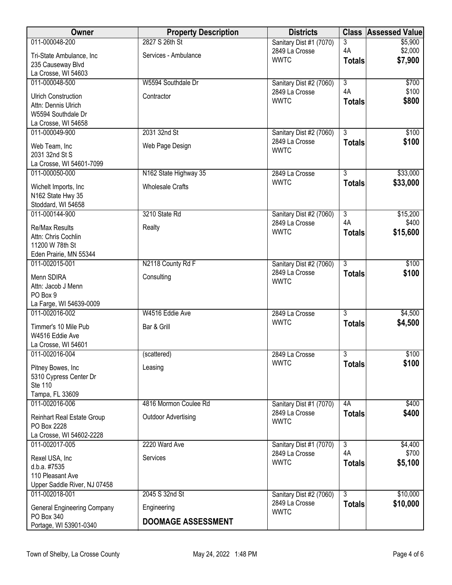| Owner                                      | <b>Property Description</b> | <b>Districts</b>                          | <b>Class</b>         | <b>Assessed Value</b> |
|--------------------------------------------|-----------------------------|-------------------------------------------|----------------------|-----------------------|
| 011-000048-200                             | 2827 S 26th St              | Sanitary Dist #1 (7070)                   | 3                    | \$5,900               |
| Tri-State Ambulance, Inc                   | Services - Ambulance        | 2849 La Crosse<br><b>WWTC</b>             | 4A                   | \$2,000               |
| 235 Causeway Blvd                          |                             |                                           | <b>Totals</b>        | \$7,900               |
| La Crosse, WI 54603                        |                             |                                           |                      |                       |
| 011-000048-500                             | W5594 Southdale Dr          | Sanitary Dist #2 (7060)                   | $\overline{3}$<br>4A | \$700                 |
| <b>Ulrich Construction</b>                 | Contractor                  | 2849 La Crosse<br><b>WWTC</b>             | <b>Totals</b>        | \$100<br>\$800        |
| Attn: Dennis Ulrich                        |                             |                                           |                      |                       |
| W5594 Southdale Dr                         |                             |                                           |                      |                       |
| La Crosse, WI 54658<br>011-000049-900      | 2031 32nd St                | Sanitary Dist #2 (7060)                   | $\overline{3}$       | \$100                 |
|                                            |                             | 2849 La Crosse                            | <b>Totals</b>        | \$100                 |
| Web Team, Inc                              | Web Page Design             | <b>WWTC</b>                               |                      |                       |
| 2031 32nd St S<br>La Crosse, WI 54601-7099 |                             |                                           |                      |                       |
| 011-000050-000                             | N162 State Highway 35       | 2849 La Crosse                            | $\overline{3}$       | \$33,000              |
|                                            | <b>Wholesale Crafts</b>     | <b>WWTC</b>                               | <b>Totals</b>        | \$33,000              |
| Wichelt Imports, Inc<br>N162 State Hwy 35  |                             |                                           |                      |                       |
| Stoddard, WI 54658                         |                             |                                           |                      |                       |
| 011-000144-900                             | 3210 State Rd               | Sanitary Dist #2 (7060)                   | $\overline{3}$       | \$15,200              |
| <b>Re/Max Results</b>                      | Realty                      | 2849 La Crosse                            | 4A                   | \$400                 |
| Attn: Chris Cochlin                        |                             | <b>WWTC</b>                               | <b>Totals</b>        | \$15,600              |
| 11200 W 78th St                            |                             |                                           |                      |                       |
| Eden Prairie, MN 55344                     |                             |                                           |                      |                       |
| 011-002015-001                             | N2118 County Rd F           | Sanitary Dist #2 (7060)<br>2849 La Crosse | $\overline{3}$       | \$100                 |
| Menn SDIRA                                 | Consulting                  | <b>WWTC</b>                               | <b>Totals</b>        | \$100                 |
| Attn: Jacob J Menn                         |                             |                                           |                      |                       |
| PO Box 9<br>La Farge, WI 54639-0009        |                             |                                           |                      |                       |
| 011-002016-002                             | W4516 Eddie Ave             | 2849 La Crosse                            | $\overline{3}$       | \$4,500               |
|                                            |                             | <b>WWTC</b>                               | <b>Totals</b>        | \$4,500               |
| Timmer's 10 Mile Pub<br>W4516 Eddie Ave    | Bar & Grill                 |                                           |                      |                       |
| La Crosse, WI 54601                        |                             |                                           |                      |                       |
| 011-002016-004                             | (scattered)                 | 2849 La Crosse                            | $\overline{3}$       | \$100                 |
| Pitney Bowes, Inc                          | Leasing                     | <b>WWTC</b>                               | <b>Totals</b>        | \$100                 |
| 5310 Cypress Center Dr                     |                             |                                           |                      |                       |
| Ste 110                                    |                             |                                           |                      |                       |
| Tampa, FL 33609                            |                             |                                           |                      |                       |
| 011-002016-006                             | 4816 Mormon Coulee Rd       | Sanitary Dist #1 (7070)                   | 4A                   | \$400                 |
| <b>Reinhart Real Estate Group</b>          | <b>Outdoor Advertising</b>  | 2849 La Crosse<br><b>WWTC</b>             | <b>Totals</b>        | \$400                 |
| PO Box 2228                                |                             |                                           |                      |                       |
| La Crosse, WI 54602-2228<br>011-002017-005 | 2220 Ward Ave               |                                           | $\overline{3}$       |                       |
|                                            |                             | Sanitary Dist #1 (7070)<br>2849 La Crosse | 4A                   | \$4,400<br>\$700      |
| Rexel USA, Inc                             | Services                    | <b>WWTC</b>                               | <b>Totals</b>        | \$5,100               |
| d.b.a. #7535<br>110 Pleasant Ave           |                             |                                           |                      |                       |
| Upper Saddle River, NJ 07458               |                             |                                           |                      |                       |
| 011-002018-001                             | 2045 S 32nd St              | Sanitary Dist #2 (7060)                   | $\overline{3}$       | \$10,000              |
| <b>General Engineering Company</b>         | Engineering                 | 2849 La Crosse                            | <b>Totals</b>        | \$10,000              |
| PO Box 340                                 |                             | <b>WWTC</b>                               |                      |                       |
| Portage, WI 53901-0340                     | <b>DOOMAGE ASSESSMENT</b>   |                                           |                      |                       |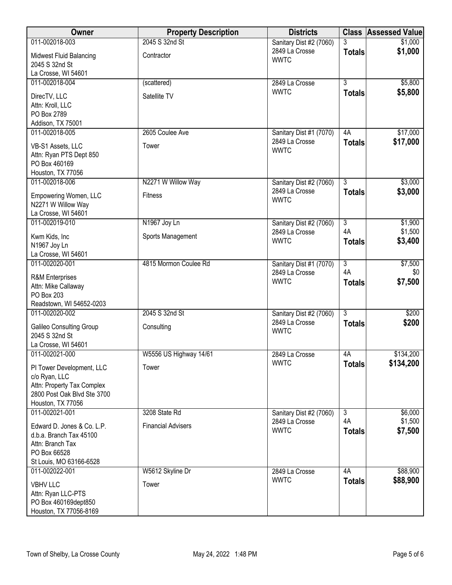| Owner                                                                                                                        | <b>Property Description</b> | <b>Districts</b>                                         |                     | <b>Class Assessed Value</b> |
|------------------------------------------------------------------------------------------------------------------------------|-----------------------------|----------------------------------------------------------|---------------------|-----------------------------|
| 011-002018-003                                                                                                               | 2045 S 32nd St              | Sanitary Dist #2 (7060)                                  |                     | \$1,000                     |
| <b>Midwest Fluid Balancing</b><br>2045 S 32nd St                                                                             | Contractor                  | 2849 La Crosse<br><b>WWTC</b>                            | <b>Totals</b>       | \$1,000                     |
| La Crosse, WI 54601                                                                                                          |                             |                                                          |                     |                             |
| 011-002018-004                                                                                                               | (scattered)                 | 2849 La Crosse                                           | $\overline{3}$      | \$5,800                     |
| DirecTV, LLC<br>Attn: Kroll, LLC<br>PO Box 2789                                                                              | Satellite TV                | <b>WWTC</b>                                              | <b>Totals</b>       | \$5,800                     |
| Addison, TX 75001                                                                                                            |                             |                                                          |                     |                             |
| 011-002018-005<br>VB-S1 Assets, LLC<br>Attn: Ryan PTS Dept 850<br>PO Box 460169<br>Houston, TX 77056                         | 2605 Coulee Ave<br>Tower    | Sanitary Dist #1 (7070)<br>2849 La Crosse<br><b>WWTC</b> | 4A<br><b>Totals</b> | \$17,000<br>\$17,000        |
| 011-002018-006                                                                                                               | N2271 W Willow Way          | Sanitary Dist #2 (7060)                                  | $\overline{3}$      | \$3,000                     |
| Empowering Women, LLC<br>N2271 W Willow Way<br>La Crosse, WI 54601                                                           | <b>Fitness</b>              | 2849 La Crosse<br><b>WWTC</b>                            | <b>Totals</b>       | \$3,000                     |
| 011-002019-010                                                                                                               | N1967 Joy Ln                | Sanitary Dist #2 (7060)                                  | $\overline{3}$      | \$1,900                     |
| Kwm Kids, Inc<br>N1967 Joy Ln<br>La Crosse, WI 54601                                                                         | Sports Management           | 2849 La Crosse<br><b>WWTC</b>                            | 4A<br><b>Totals</b> | \$1,500<br>\$3,400          |
| 011-002020-001                                                                                                               | 4815 Mormon Coulee Rd       | Sanitary Dist #1 (7070)                                  | $\overline{3}$      | \$7,500                     |
| <b>R&amp;M</b> Enterprises<br>Attn: Mike Callaway<br>PO Box 203<br>Readstown, WI 54652-0203                                  |                             | 2849 La Crosse<br><b>WWTC</b>                            | 4A<br><b>Totals</b> | \$0<br>\$7,500              |
| 011-002020-002                                                                                                               | 2045 S 32nd St              | Sanitary Dist #2 (7060)                                  | $\overline{3}$      | \$200                       |
| <b>Galileo Consulting Group</b><br>2045 S 32nd St<br>La Crosse, WI 54601                                                     | Consulting                  | 2849 La Crosse<br><b>WWTC</b>                            | <b>Totals</b>       | \$200                       |
| 011-002021-000                                                                                                               | W5556 US Highway 14/61      | 2849 La Crosse                                           | 4A                  | \$134,200                   |
| PI Tower Development, LLC<br>c/o Ryan, LLC<br>Attn: Property Tax Complex<br>2800 Post Oak Blvd Ste 3700<br>Houston, TX 77056 | Tower                       | <b>WWTC</b>                                              | <b>Totals</b>       | \$134,200                   |
| 011-002021-001                                                                                                               | 3208 State Rd               | Sanitary Dist #2 (7060)                                  | $\overline{3}$      | \$6,000                     |
| Edward D. Jones & Co. L.P.<br>d.b.a. Branch Tax 45100<br>Attn: Branch Tax<br>PO Box 66528<br>St Louis, MO 63166-6528         | <b>Financial Advisers</b>   | 2849 La Crosse<br><b>WWTC</b>                            | 4A<br><b>Totals</b> | \$1,500<br>\$7,500          |
| 011-002022-001                                                                                                               | W5612 Skyline Dr            | 2849 La Crosse                                           | 4A                  | \$88,900                    |
| <b>VBHV LLC</b><br>Attn: Ryan LLC-PTS<br>PO Box 460169dept850<br>Houston, TX 77056-8169                                      | Tower                       | <b>WWTC</b>                                              | <b>Totals</b>       | \$88,900                    |